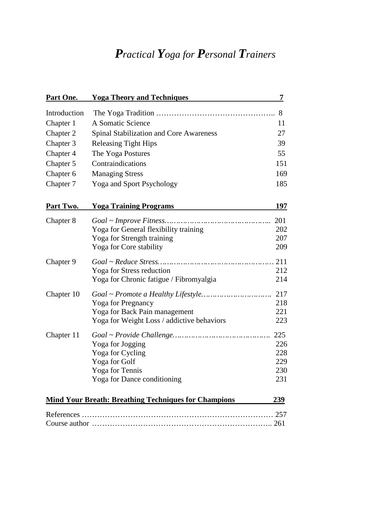# *Practical Yoga for Personal Trainers*

| Part One.    | <b>Yoga Theory and Techniques</b>                                                                                                                                                                        | 7                                      |
|--------------|----------------------------------------------------------------------------------------------------------------------------------------------------------------------------------------------------------|----------------------------------------|
| Introduction |                                                                                                                                                                                                          | 8                                      |
| Chapter 1    | A Somatic Science                                                                                                                                                                                        | 11                                     |
| Chapter 2    | Spinal Stabilization and Core Awareness                                                                                                                                                                  | 27                                     |
| Chapter 3    | <b>Releasing Tight Hips</b>                                                                                                                                                                              | 39                                     |
| Chapter 4    | The Yoga Postures                                                                                                                                                                                        | 55                                     |
| Chapter 5    | Contraindications                                                                                                                                                                                        | 151                                    |
| Chapter 6    | <b>Managing Stress</b>                                                                                                                                                                                   | 169                                    |
| Chapter 7    | Yoga and Sport Psychology                                                                                                                                                                                | 185                                    |
| Part Two.    | <b>Yoga Training Programs</b>                                                                                                                                                                            | 197                                    |
| Chapter 8    | $Goal \sim Improve \textit{Fitness} \dots \dots \dots \dots \dots \dots \dots \dots \dots \dots \dots$<br>Yoga for General flexibility training<br>Yoga for Strength training<br>Yoga for Core stability | 201<br>202<br>207<br>209               |
| Chapter 9    | Yoga for Stress reduction<br>Yoga for Chronic fatigue / Fibromyalgia                                                                                                                                     | 211<br>212<br>214                      |
| Chapter 10   | <b>Yoga for Pregnancy</b><br>Yoga for Back Pain management<br>Yoga for Weight Loss / addictive behaviors                                                                                                 | 217<br>218<br>221<br>223               |
| Chapter 11   | Yoga for Jogging<br>Yoga for Cycling<br>Yoga for Golf<br>Yoga for Tennis<br>Yoga for Dance conditioning                                                                                                  | 225<br>226<br>228<br>229<br>230<br>231 |
|              | <b>Mind Your Breath: Breathing Techniques for Champions</b>                                                                                                                                              | 239                                    |
|              |                                                                                                                                                                                                          |                                        |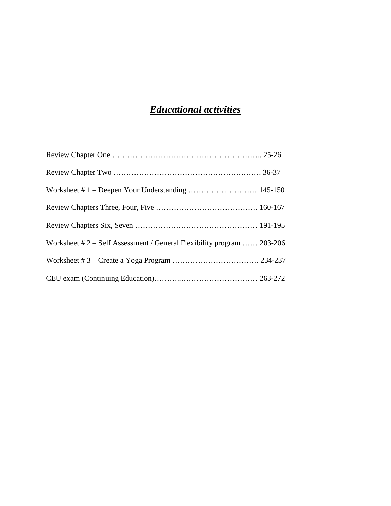## *Educational activities*

| Worksheet $# 2 - Self$ Assessment / General Flexibility program  203-206 |  |
|--------------------------------------------------------------------------|--|
|                                                                          |  |
|                                                                          |  |